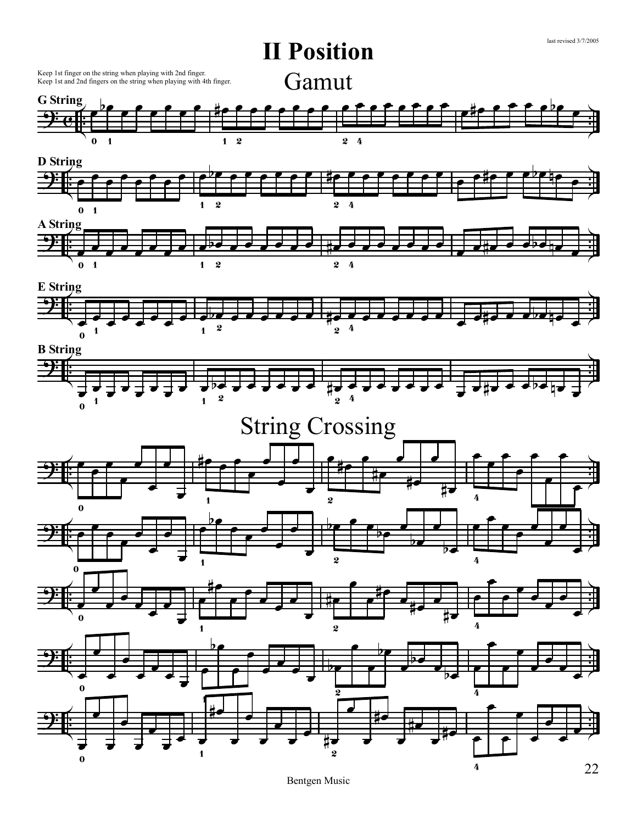

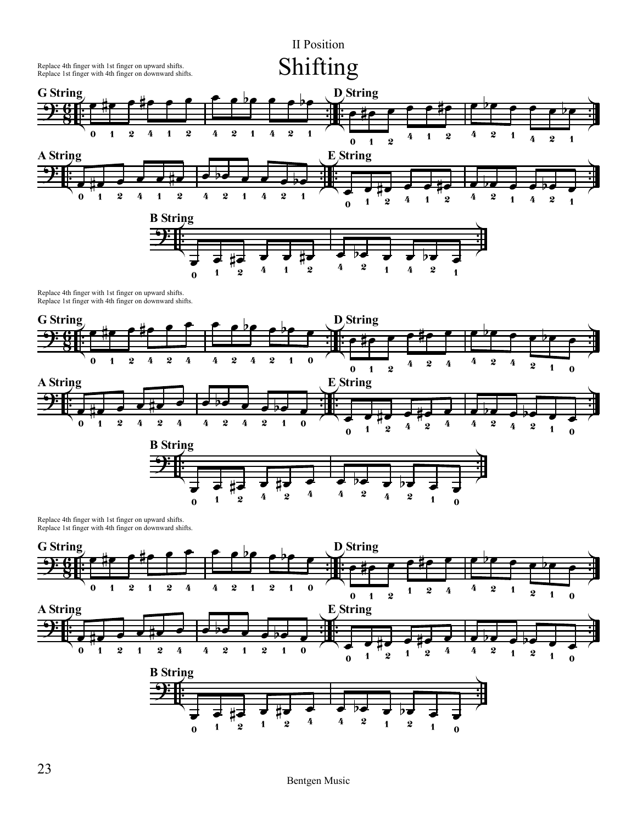

Replace 4th finger with 1st finger on upward shifts. Replace 1st finger with 4th finger on downward shifts.



Replace 4th finger with 1st finger on upward shifts. Replace 1st finger with 4th finger on downward shifts.

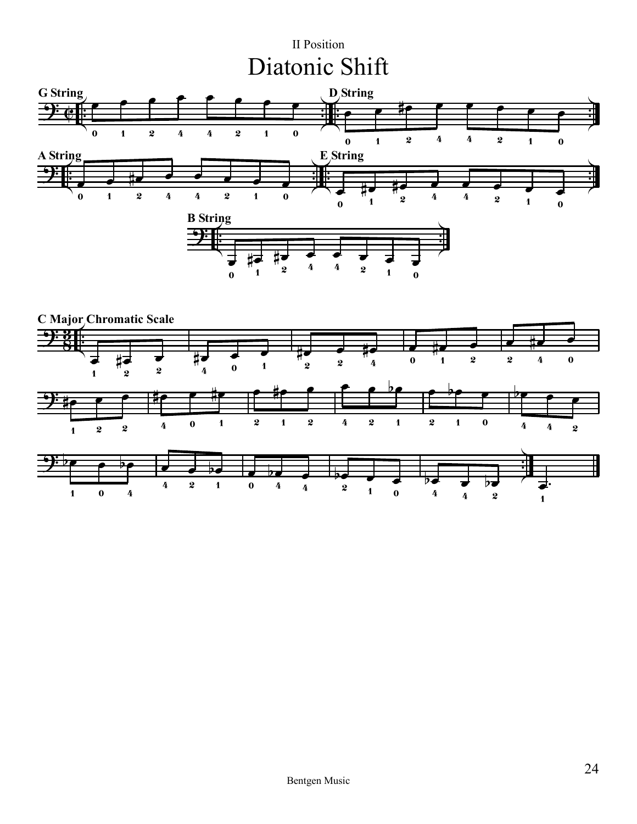## II Position Diatonic Shift



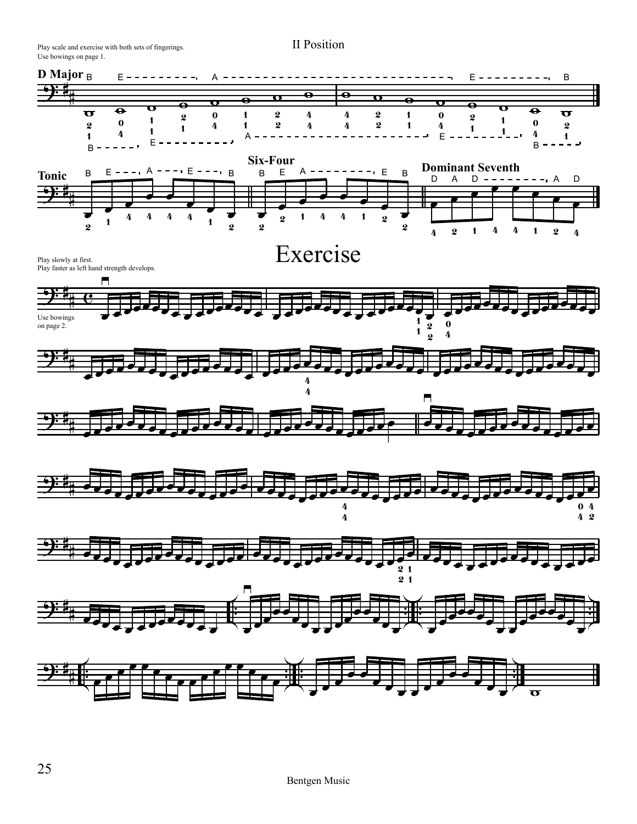Play scale and exercise with both sets of fingerings. Use bowings on page 1.

II Position

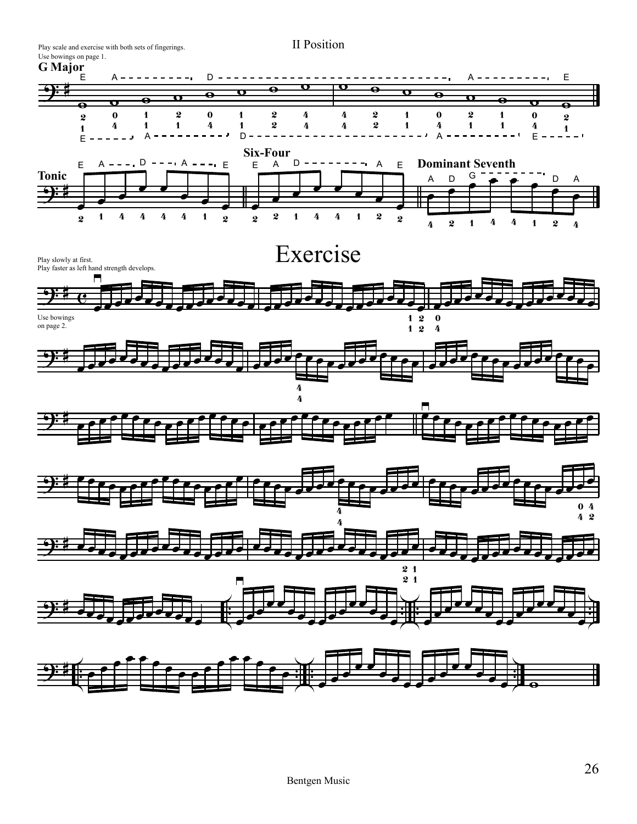Play scale and exercise with both sets of fingerings.

II Position

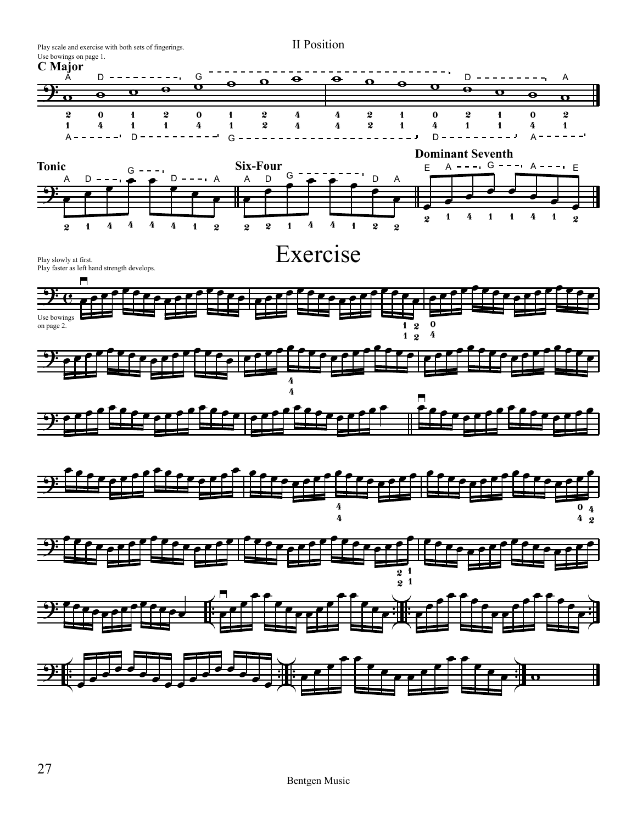